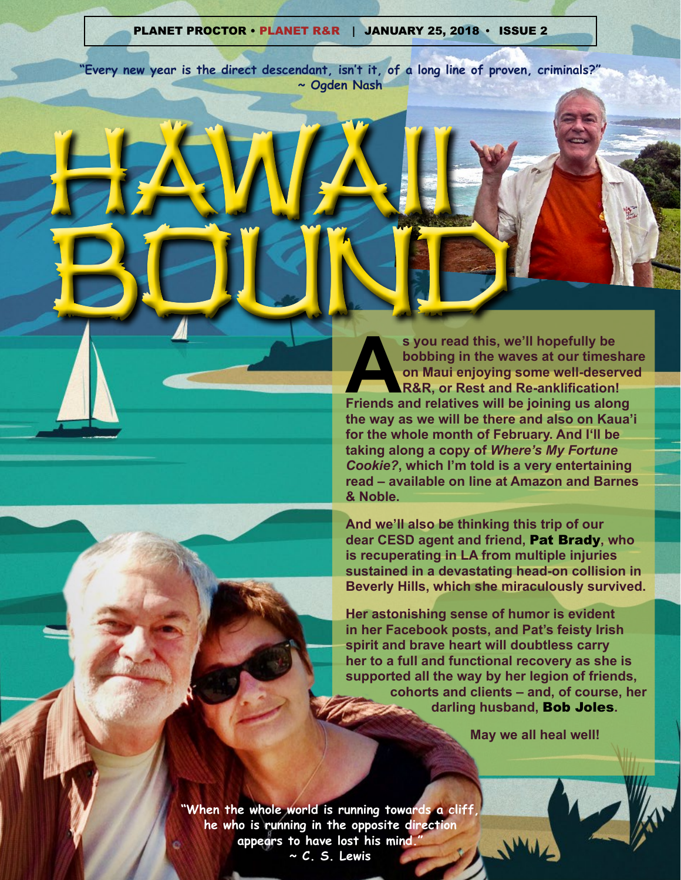#### PLANET PROCTOR • PLANET R&R **|** JANUARY 25, 2018 **•** ISSUE 2

**"Every new year is the direct descendant, isn't it, of a long line of proven, criminals?" ~ Ogden Nash**

HAWAII

BOUND **As you read this, we'll hopefully be**<br> **As bobbing in the waves at our timesha<br>
on Maui enjoying some well-deserve<br>
R&R, or Rest and Re-anklification!<br>
Friends and relatives will be joining us along bobbing in the waves at our timeshare on Maui enjoying some well-deserved R&R, or Rest and Re-anklification! the way as we will be there and also on Kaua'i for the whole month of February. And I'll be taking along a copy of** *Where's My Fortune Cookie?***, which I'm told is a very entertaining read – available on line at Amazon and Barnes & Noble.**

> **And we'll also be thinking this trip of our dear CESD agent and friend,** Pat Brady**, who is recuperating in LA from multiple injuries sustained in a devastating head-on collision in Beverly Hills, which she miraculously survived.**

> **Her astonishing sense of humor is evident in her Facebook posts, and Pat's feisty Irish spirit and brave heart will doubtless carry her to a full and functional recovery as she is supported all the way by her legion of friends, cohorts and clients – and, of course, her darling husband,** Bob Joles**.**

> > **May we all heal well!**

**"When the whole world is running towards a cliff, he who is running in the opposite direction appears to have lost his mind." ~ C. S. Lewis**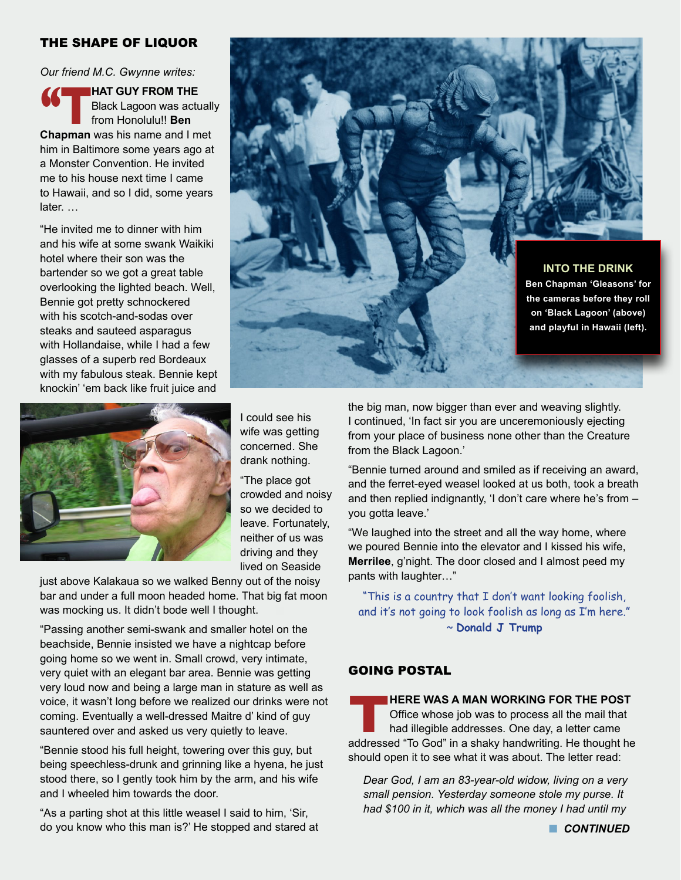### THE SHAPE OF LIQUOR

*Our friend M.C. Gwynne writes:*

**1999 HAT GUY FROM THE**<br>Black Lagoon was actured from Honolulu!! Ben Black Lagoon was actually from Honolulu!! **Ben Chapman** was his name and I met him in Baltimore some years ago at a Monster Convention. He invited me to his house next time I came to Hawaii, and so I did, some years later. …

"He invited me to dinner with him and his wife at some swank Waikiki hotel where their son was the bartender so we got a great table overlooking the lighted beach. Well, Bennie got pretty schnockered with his scotch-and-sodas over steaks and sauteed asparagus with Hollandaise, while I had a few glasses of a superb red Bordeaux with my fabulous steak. Bennie kept knockin' 'em back like fruit juice and



I could see his wife was getting concerned. She drank nothing.

"The place got crowded and noisy so we decided to leave. Fortunately, neither of us was driving and they lived on Seaside

just above Kalakaua so we walked Benny out of the noisy bar and under a full moon headed home. That big fat moon was mocking us. It didn't bode well I thought.

"Passing another semi-swank and smaller hotel on the beachside, Bennie insisted we have a nightcap before going home so we went in. Small crowd, very intimate, very quiet with an elegant bar area. Bennie was getting very loud now and being a large man in stature as well as voice, it wasn't long before we realized our drinks were not coming. Eventually a well-dressed Maitre d' kind of guy sauntered over and asked us very quietly to leave.

"Bennie stood his full height, towering over this guy, but being speechless-drunk and grinning like a hyena, he just stood there, so I gently took him by the arm, and his wife and I wheeled him towards the door.

"As a parting shot at this little weasel I said to him, 'Sir, do you know who this man is?' He stopped and stared at



the big man, now bigger than ever and weaving slightly. I continued, 'In fact sir you are unceremoniously ejecting from your place of business none other than the Creature from the Black Lagoon.'

"Bennie turned around and smiled as if receiving an award, and the ferret-eyed weasel looked at us both, took a breath and then replied indignantly, 'I don't care where he's from – you gotta leave.'

"We laughed into the street and all the way home, where we poured Bennie into the elevator and I kissed his wife, **Merrilee**, g'night. The door closed and I almost peed my pants with laughter…"

"This is a country that I don't want looking foolish, and it's not going to look foolish as long as I'm here." ~ **Donald J Trump**

#### GOING POSTAL

**THERE WAS A MAN WORKING FOR THE POST**<br> **The Office whose job was to process all the mail that**<br> **addressed "To God" in a shaky handwriting. He thought he** Office whose job was to process all the mail that had illegible addresses. One day, a letter came should open it to see what it was about. The letter read:

*Dear God, I am an 83-year-old widow, living on a very small pension. Yesterday someone stole my purse. It had \$100 in it, which was all the money I had until my*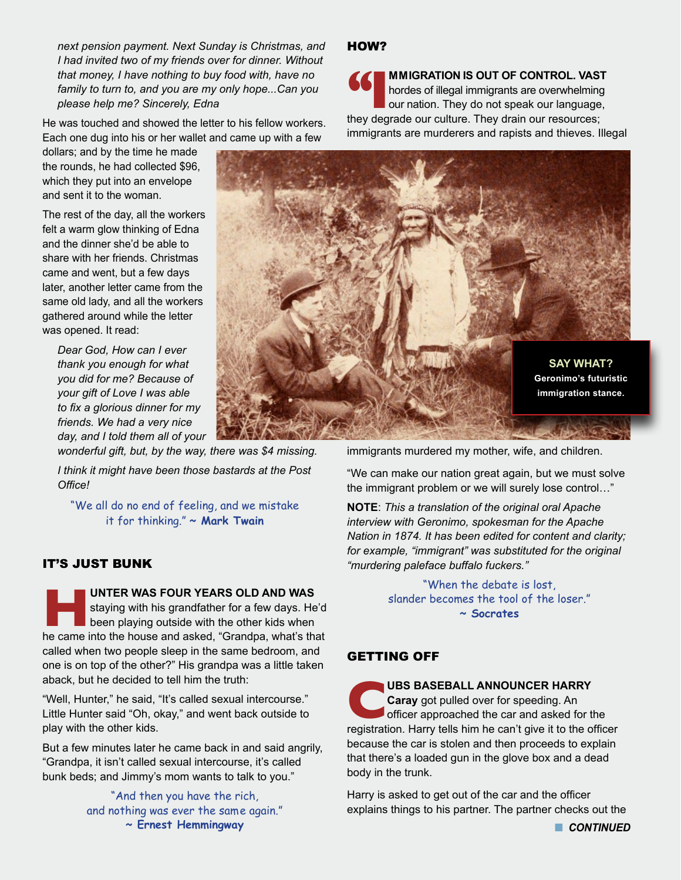*next pension payment. Next Sunday is Christmas, and I had invited two of my friends over for dinner. Without that money, I have nothing to buy food with, have no family to turn to, and you are my only hope...Can you please help me? Sincerely, Edna*

He was touched and showed the letter to his fellow workers. Each one dug into his or her wallet and came up with a few

dollars; and by the time he made the rounds, he had collected \$96, which they put into an envelope and sent it to the woman.

The rest of the day, all the workers felt a warm glow thinking of Edna and the dinner she'd be able to share with her friends. Christmas came and went, but a few days later, another letter came from the same old lady, and all the workers gathered around while the letter was opened. It read:

*Dear God, How can I ever thank you enough for what you did for me? Because of your gift of Love I was able to fix a glorious dinner for my friends. We had a very nice day, and I told them all of your wonderful gift, but, by the way, there was \$4 missing.* 

*I think it might have been those bastards at the Post Office!*

"We all do no end of feeling, and we mistake it for thinking." **~ Mark Twain** 

## IT'S JUST BUNK

**Here I UNTER WAS FOUR YEARS OLD AND WAS** staying with his grandfather for a few days. He been playing outside with the other kids when he came into the house and asked. "Grandpa, what's that staying with his grandfather for a few days. He'd been playing outside with the other kids when he came into the house and asked, "Grandpa, what's that called when two people sleep in the same bedroom, and one is on top of the other?" His grandpa was a little taken aback, but he decided to tell him the truth:

"Well, Hunter," he said, "It's called sexual intercourse." Little Hunter said "Oh, okay," and went back outside to play with the other kids.

But a few minutes later he came back in and said angrily, "Grandpa, it isn't called sexual intercourse, it's called bunk beds; and Jimmy's mom wants to talk to you."

> "And then you have the rich, and nothing was ever the same again." **~ Ernest Hemmingway**

## HOW?

**for MMIGRATION IS OUT OF CONTROL. VAST** hordes of illegal immigrants are overwhelming our nation. They do not speak our language, they degrade our culture. They drain our resources; **MMIGRATION IS OUT OF CONTROL. VAST**  hordes of illegal immigrants are overwhelming our nation. They do not speak our language, immigrants are murderers and rapists and thieves. Illegal



immigrants murdered my mother, wife, and children.

"We can make our nation great again, but we must solve the immigrant problem or we will surely lose control…"

**NOTE**: *This a translation of the original oral Apache interview with Geronimo, spokesman for the Apache Nation in 1874. It has been edited for content and clarity; for example, "immigrant" was substituted for the original "murdering paleface buffalo fuckers."*

> "When the debate is lost, slander becomes the tool of the loser." **~ Socrates**

# GETTING OFF

**UBS BASEBALL ANNOUNCER HARRY**<br>**Caray** got pulled over for speeding. An officer approached the car and asked for the registration. Harry tells him he can't give it to the o **Caray** got pulled over for speeding. An officer approached the car and asked for the registration. Harry tells him he can't give it to the officer because the car is stolen and then proceeds to explain that there's a loaded gun in the glove box and a dead body in the trunk.

Harry is asked to get out of the car and the officer explains things to his partner. The partner checks out the